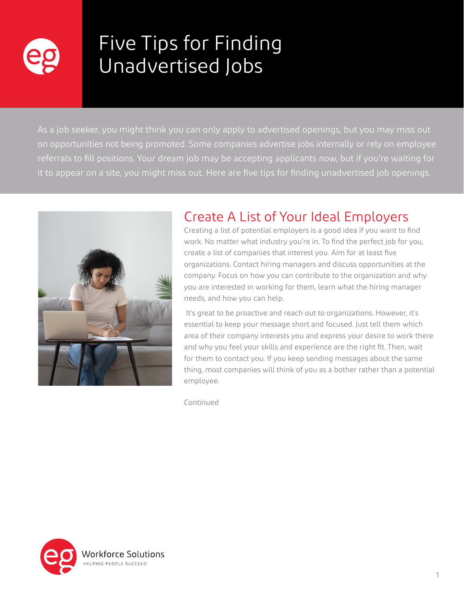

# Five Tips for Finding Unadvertised Jobs

As a job seeker, you might think you can only apply to advertised openings, but you may miss out on opportunities not being promoted. Some companies advertise jobs internally or rely on employee referrals to fill positions. Your dream job may be accepting applicants now, but if you're waiting for it to appear on a site, you might miss out. Here are five tips for finding unadvertised job openings.



# Create A List of Your Ideal Employers

Creating a list of potential employers is a good idea if you want to find work. No matter what industry you're in. To find the perfect job for you, create a list of companies that interest you. Aim for at least five organizations. Contact hiring managers and discuss opportunities at the company. Focus on how you can contribute to the organization and why you are interested in working for them, learn what the hiring manager needs, and how you can help.

 It's great to be proactive and reach out to organizations. However, it's essential to keep your message short and focused. Just tell them which area of their company interests you and express your desire to work there and why you feel your skills and experience are the right fit. Then, wait for them to contact you. If you keep sending messages about the same thing, most companies will think of you as a bother rather than a potential employee.

*Continued*

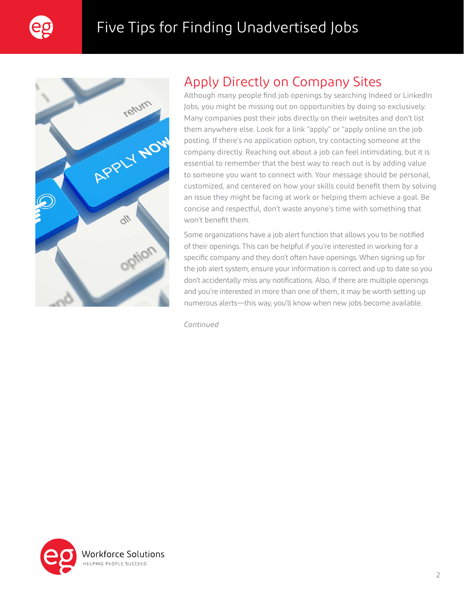



# Apply Directly on Company Sites

Although many people find job openings by searching Indeed or LinkedIn Jobs, you might be missing out on opportunities by doing so exclusively. Many companies post their jobs directly on their websites and don't list them anywhere else. Look for a link "apply" or "apply online on the job posting. If there's no application option, try contacting someone at the company directly. Reaching out about a job can feel intimidating, but it is essential to remember that the best way to reach out is by adding value to someone you want to connect with. Your message should be personal, customized, and centered on how your skills could benefit them by solving an issue they might be facing at work or helping them achieve a goal. Be concise and respectful, don't waste anyone's time with something that won't benefit them.

Some organizations have a job alert function that allows you to be notified of their openings. This can be helpful if you're interested in working for a specific company and they don't often have openings. When signing up for the job alert system, ensure your information is correct and up to date so you don't accidentally miss any notifications. Also, if there are multiple openings and you're interested in more than one of them, it may be worth setting up numerous alerts—this way, you'll know when new jobs become available.

*Continued*

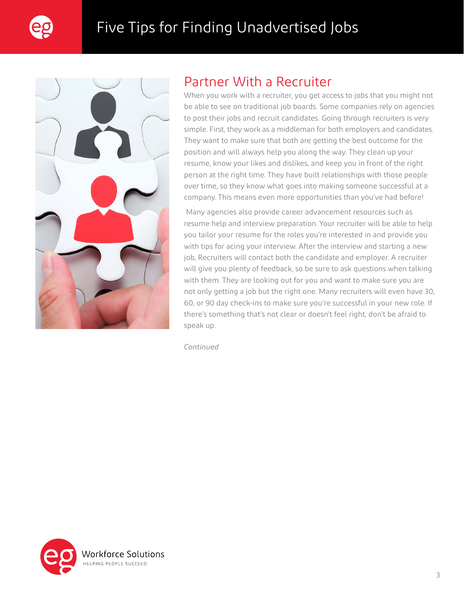



#### Partner With a Recruiter

When you work with a recruiter, you get access to jobs that you might not be able to see on traditional job boards. Some companies rely on agencies to post their jobs and recruit candidates. Going through recruiters is very simple. First, they work as a middleman for both employers and candidates. They want to make sure that both are getting the best outcome for the position and will always help you along the way. They clean up your resume, know your likes and dislikes, and keep you in front of the right person at the right time. They have built relationships with those people over time, so they know what goes into making someone successful at a company. This means even more opportunities than you've had before!

 Many agencies also provide career advancement resources such as resume help and interview preparation. Your recruiter will be able to help you tailor your resume for the roles you're interested in and provide you with tips for acing your interview. After the interview and starting a new job, Recruiters will contact both the candidate and employer. A recruiter will give you plenty of feedback, so be sure to ask questions when talking with them. They are looking out for you and want to make sure you are not only getting a job but the right one. Many recruiters will even have 30, 60, or 90 day check-ins to make sure you're successful in your new role. If there's something that's not clear or doesn't feel right, don't be afraid to speak up.

*Continued*